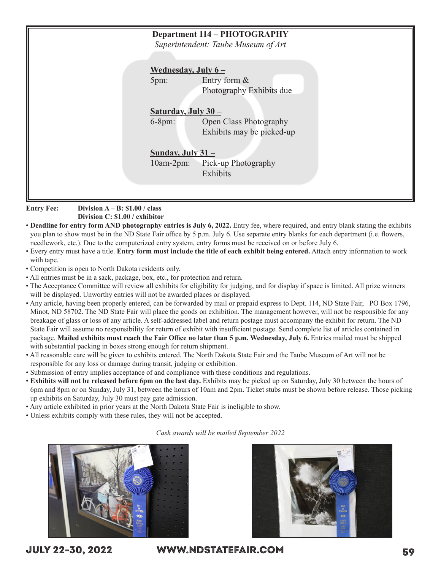| <b>Department 114 - PHOTOGRAPHY</b><br>Superintendent: Taube Museum of Art                 |
|--------------------------------------------------------------------------------------------|
| <u>Wednesday, July <math>6-</math></u><br>Entry form &<br>5pm:<br>Photography Exhibits due |
| Saturday, July $30 -$<br>Open Class Photography<br>$6-8pm:$<br>Exhibits may be picked-up   |
| Sunday, July $31 -$<br>Pick-up Photography<br>$10am-2pm:$<br>Exhibits                      |
|                                                                                            |

**Entry Fee: Division A – B: \$1.00 / class Division C: \$1.00 / exhibitor**

- **Deadline for entry form AND photography entries is July 6, 2022.** Entry fee, where required, and entry blank stating the exhibits you plan to show must be in the ND State Fair office by 5 p.m. July 6. Use separate entry blanks for each department (i.e. flowers, needlework, etc.). Due to the computerized entry system, entry forms must be received on or before July 6.
- Every entry must have a title. **Entry form must include the title of each exhibit being entered.** Attach entry information to work with tape.
- Competition is open to North Dakota residents only.
- All entries must be in a sack, package, box, etc., for protection and return.
- The Acceptance Committee will review all exhibits for eligibility for judging, and for display if space is limited. All prize winners will be displayed. Unworthy entries will not be awarded places or displayed.
- Any article, having been properly entered, can be forwarded by mail or prepaid express to Dept. 114, ND State Fair, PO Box 1796, Minot, ND 58702. The ND State Fair will place the goods on exhibition. The management however, will not be responsible for any breakage of glass or loss of any article. A self-addressed label and return postage must accompany the exhibit for return. The ND State Fair will assume no responsibility for return of exhibit with insufficient postage. Send complete list of articles contained in package. **Mailed exhibits must reach the Fair Office no later than 5 p.m. Wednesday, July 6.** Entries mailed must be shipped with substantial packing in boxes strong enough for return shipment.
- All reasonable care will be given to exhibits entered. The North Dakota State Fair and the Taube Museum of Art will not be responsible for any loss or damage during transit, judging or exhibition.
- Submission of entry implies acceptance of and compliance with these conditions and regulations.
- **Exhibits will not be released before 6pm on the last day.** Exhibits may be picked up on Saturday, July 30 between the hours of 6pm and 8pm or on Sunday, July 31, between the hours of 10am and 2pm. Ticket stubs must be shown before release. Those picking up exhibits on Saturday, July 30 must pay gate admission.
- Any article exhibited in prior years at the North Dakota State Fair is ineligible to show.
- Unless exhibits comply with these rules, they will not be accepted.

### *Cash awards will be mailed September 2022*





JULY 22-30, 2022 WWW.NDSTATEFAIR.COM 59